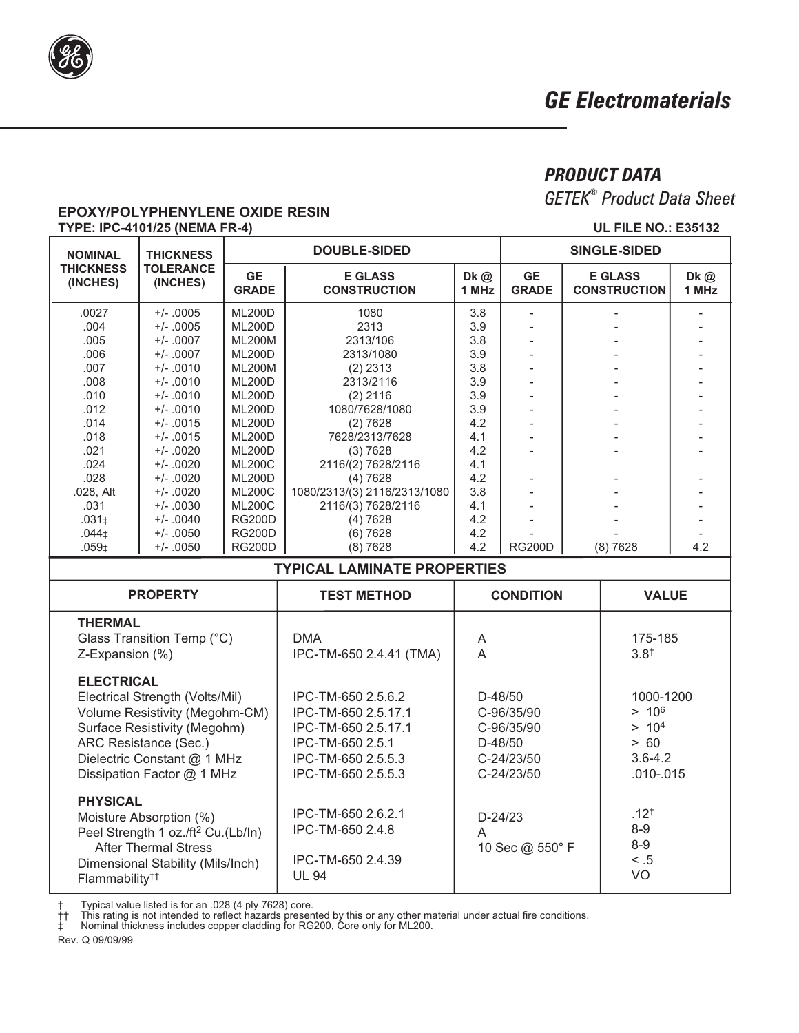

# **PRODUCT DATA**

**GETEK<sup>®</sup>** Product Data Sheet

**UL FILE NO.: E35132** 

# **EPOXY/POLYPHENYLENE OXIDE RESIN** TYPE: IPC-4101/25 (NEMA FR-4)

| <b>NOMINAL</b>                                                                                                                                                   | <b>THICKNESS</b>             | <b>DOUBLE-SIDED</b>            |                                                                             |                                   | <b>SINGLE-SIDED</b>       |                                            |               |              |  |  |  |
|------------------------------------------------------------------------------------------------------------------------------------------------------------------|------------------------------|--------------------------------|-----------------------------------------------------------------------------|-----------------------------------|---------------------------|--------------------------------------------|---------------|--------------|--|--|--|
| <b>THICKNESS</b><br>(INCHES)                                                                                                                                     | <b>TOLERANCE</b><br>(INCHES) | <b>GE</b><br><b>GRADE</b>      | <b>E GLASS</b><br><b>CONSTRUCTION</b>                                       | Dk @<br>1 MHz                     | <b>GE</b><br><b>GRADE</b> | <b>E GLASS</b><br><b>CONSTRUCTION</b>      |               | Dk@<br>1 MHz |  |  |  |
| .0027                                                                                                                                                            | $+/- .0005$                  | <b>ML200D</b>                  | 1080                                                                        | 3.8                               |                           |                                            |               |              |  |  |  |
| .004                                                                                                                                                             | $+/- .0005$                  | <b>ML200D</b>                  | 2313                                                                        | 3.9                               |                           |                                            |               |              |  |  |  |
| .005                                                                                                                                                             | $+/- .0007$                  | <b>ML200M</b>                  | 2313/106                                                                    | 3.8                               |                           |                                            |               |              |  |  |  |
| .006                                                                                                                                                             | $+/- .0007$                  | <b>ML200D</b>                  | 2313/1080                                                                   | 3.9<br>3.8                        | $\overline{\phantom{a}}$  |                                            |               |              |  |  |  |
| .007<br>.008                                                                                                                                                     | $+/- .0010$<br>$+/- .0010$   | <b>ML200M</b><br><b>ML200D</b> | $(2)$ 2313<br>2313/2116                                                     | 3.9                               |                           |                                            |               |              |  |  |  |
| .010                                                                                                                                                             | $+/- .0010$                  | <b>ML200D</b>                  | $(2)$ 2116                                                                  | 3.9                               |                           |                                            |               |              |  |  |  |
| .012                                                                                                                                                             | $+/- .0010$                  | <b>ML200D</b>                  | 1080/7628/1080                                                              | 3.9                               |                           |                                            |               |              |  |  |  |
| .014                                                                                                                                                             | $+/- .0015$                  | <b>ML200D</b>                  | (2) 7628                                                                    | 4.2                               | $\overline{a}$            |                                            |               |              |  |  |  |
| .018                                                                                                                                                             | $+/- .0015$                  | <b>ML200D</b>                  | 7628/2313/7628                                                              | 4.1                               |                           |                                            |               |              |  |  |  |
| .021                                                                                                                                                             | $+/- .0020$                  | <b>ML200D</b>                  | (3)7628                                                                     | 4.2                               |                           |                                            |               |              |  |  |  |
| .024                                                                                                                                                             | $+/- .0020$                  | <b>ML200C</b>                  | 2116/(2) 7628/2116                                                          | 4.1                               |                           |                                            |               |              |  |  |  |
| .028                                                                                                                                                             | $+/- .0020$                  | <b>ML200D</b>                  | (4)7628                                                                     | 4.2                               |                           |                                            |               |              |  |  |  |
| .028, Alt<br>.031                                                                                                                                                | $+/- .0020$<br>$+/- .0030$   | <b>ML200C</b><br><b>ML200C</b> | 1080/2313/(3) 2116/2313/1080<br>2116/(3) 7628/2116                          | 3.8<br>4.1                        |                           |                                            |               |              |  |  |  |
| .031 <sub>‡</sub>                                                                                                                                                | $+/- .0040$                  | <b>RG200D</b>                  | (4)7628                                                                     | 4.2                               |                           |                                            |               |              |  |  |  |
| .044 <sub>‡</sub>                                                                                                                                                | $+/- .0050$                  | <b>RG200D</b>                  | (6)7628                                                                     | 4.2                               |                           |                                            |               |              |  |  |  |
| .059 <sub>‡</sub>                                                                                                                                                | $+/- .0050$                  | <b>RG200D</b>                  | (8) 7628                                                                    | 4.2                               | <b>RG200D</b>             | (8) 7628                                   |               | 4.2          |  |  |  |
| <b>TYPICAL LAMINATE PROPERTIES</b>                                                                                                                               |                              |                                |                                                                             |                                   |                           |                                            |               |              |  |  |  |
| <b>PROPERTY</b>                                                                                                                                                  |                              |                                | <b>TEST METHOD</b>                                                          |                                   | <b>CONDITION</b>          |                                            | <b>VALUE</b>  |              |  |  |  |
| <b>THERMAL</b><br>Glass Transition Temp (°C)<br>Z-Expansion (%)                                                                                                  |                              |                                | <b>DMA</b><br>IPC-TM-650 2.4.41 (TMA)                                       | A<br>$\overline{A}$               |                           | 175-185<br>$3.8^{+}$                       |               |              |  |  |  |
| <b>ELECTRICAL</b>                                                                                                                                                |                              |                                |                                                                             |                                   |                           |                                            |               |              |  |  |  |
| Electrical Strength (Volts/Mil)                                                                                                                                  |                              |                                | IPC-TM-650 2.5.6.2                                                          | $D-48/50$                         |                           | 1000-1200                                  |               |              |  |  |  |
| Volume Resistivity (Megohm-CM)                                                                                                                                   |                              |                                | IPC-TM-650 2.5.17.1                                                         | C-96/35/90                        |                           |                                            | $> 10^6$      |              |  |  |  |
| Surface Resistivity (Megohm)                                                                                                                                     |                              |                                | IPC-TM-650 2.5.17.1                                                         | C-96/35/90                        |                           | > 10 <sup>4</sup>                          |               |              |  |  |  |
| ARC Resistance (Sec.)                                                                                                                                            |                              |                                | IPC-TM-650 2.5.1                                                            | D-48/50                           |                           | > 60                                       |               |              |  |  |  |
| Dielectric Constant @ 1 MHz                                                                                                                                      |                              |                                | IPC-TM-650 2.5.5.3                                                          | C-24/23/50                        |                           | $3.6 - 4.2$                                |               |              |  |  |  |
| Dissipation Factor @ 1 MHz                                                                                                                                       |                              |                                | IPC-TM-650 2.5.5.3                                                          | C-24/23/50                        |                           |                                            | $.010 - .015$ |              |  |  |  |
| <b>PHYSICAL</b><br>Moisture Absorption (%)<br>Peel Strength 1 oz./ft <sup>2</sup> Cu.(Lb/In)<br><b>After Thermal Stress</b><br>Dimensional Stability (Mils/Inch) |                              |                                | IPC-TM-650 2.6.2.1<br>IPC-TM-650 2.4.8<br>IPC-TM-650 2.4.39<br><b>UL 94</b> | $D-24/23$<br>A<br>10 Sec @ 550° F |                           | $.12^{+}$<br>$8-9$<br>$8-9$<br>< 0.5<br>VO |               |              |  |  |  |
| Flammability <sup>††</sup>                                                                                                                                       |                              |                                |                                                                             |                                   |                           |                                            |               |              |  |  |  |

 $^\dagger$ 

Typical value listed is for an .028 (4 ply 7628) core.<br>This rating is not intended to reflect hazards presented by this or any other material under actual fire conditions.<br>Nominal thickness includes copper cladding for RG2  $\ddagger$ 

Rev. Q 09/09/99